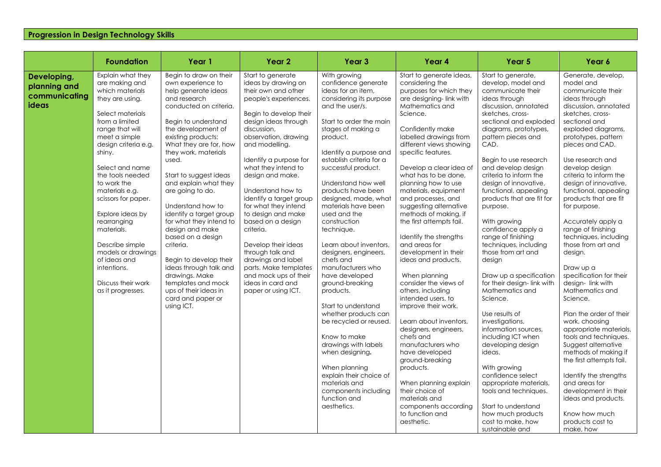## **Progression in Design Technology Skills**

|                                                       | <b>Foundation</b>                                                                                                                                                                                                                                                                                                                                                                                                                                        | Year 1                                                                                                                                                                                                                                                                                                                                                                                                                                                                                                                                                                                                    | Year 2                                                                                                                                                                                                                                                                                                                                                                                                                                                                                                                                                                  | Year <sub>3</sub>                                                                                                                                                                                                                                                                                                                                                                                                                                                                                                                                                                                                                                                                                                                                                                          | Year 4                                                                                                                                                                                                                                                                                                                                                                                                                                                                                                                                                                                                                                                                                                                                                                                                                                                                                                    | Year <sub>5</sub>                                                                                                                                                                                                                                                                                                                                                                                                                                                                                                                                                                                                                                                                                                                                                                                                                                                        | Year 6                                                                                                                                                                                                                                                                                                                                                                                                                                                                                                                                                                                                                                                                                                                                                                                                                                                |
|-------------------------------------------------------|----------------------------------------------------------------------------------------------------------------------------------------------------------------------------------------------------------------------------------------------------------------------------------------------------------------------------------------------------------------------------------------------------------------------------------------------------------|-----------------------------------------------------------------------------------------------------------------------------------------------------------------------------------------------------------------------------------------------------------------------------------------------------------------------------------------------------------------------------------------------------------------------------------------------------------------------------------------------------------------------------------------------------------------------------------------------------------|-------------------------------------------------------------------------------------------------------------------------------------------------------------------------------------------------------------------------------------------------------------------------------------------------------------------------------------------------------------------------------------------------------------------------------------------------------------------------------------------------------------------------------------------------------------------------|--------------------------------------------------------------------------------------------------------------------------------------------------------------------------------------------------------------------------------------------------------------------------------------------------------------------------------------------------------------------------------------------------------------------------------------------------------------------------------------------------------------------------------------------------------------------------------------------------------------------------------------------------------------------------------------------------------------------------------------------------------------------------------------------|-----------------------------------------------------------------------------------------------------------------------------------------------------------------------------------------------------------------------------------------------------------------------------------------------------------------------------------------------------------------------------------------------------------------------------------------------------------------------------------------------------------------------------------------------------------------------------------------------------------------------------------------------------------------------------------------------------------------------------------------------------------------------------------------------------------------------------------------------------------------------------------------------------------|--------------------------------------------------------------------------------------------------------------------------------------------------------------------------------------------------------------------------------------------------------------------------------------------------------------------------------------------------------------------------------------------------------------------------------------------------------------------------------------------------------------------------------------------------------------------------------------------------------------------------------------------------------------------------------------------------------------------------------------------------------------------------------------------------------------------------------------------------------------------------|-------------------------------------------------------------------------------------------------------------------------------------------------------------------------------------------------------------------------------------------------------------------------------------------------------------------------------------------------------------------------------------------------------------------------------------------------------------------------------------------------------------------------------------------------------------------------------------------------------------------------------------------------------------------------------------------------------------------------------------------------------------------------------------------------------------------------------------------------------|
| Developing,<br>planning and<br>communicating<br>ideas | Explain what they<br>are making and<br>which materials<br>they are using.<br>Select materials<br>from a limited<br>range that will<br>meet a simple<br>design criteria e.g.<br>shiny.<br>Select and name<br>the tools needed<br>to work the<br>materials e.g.<br>scissors for paper.<br>Explore ideas by<br>rearranging<br>materials.<br>Describe simple<br>models or drawings<br>of ideas and<br>intentions.<br>Discuss their work<br>as it progresses. | Begin to draw on their<br>own experience to<br>help generate ideas<br>and research<br>conducted on criteria.<br>Begin to understand<br>the development of<br>existing products:<br>What they are for, how<br>they work, materials<br>used.<br>Start to suggest ideas<br>and explain what they<br>are going to do.<br>Understand how to<br>identify a target group<br>for what they intend to<br>design and make<br>based on a design<br>criteria.<br>Begin to develop their<br>ideas through talk and<br>drawings. Make<br>templates and mock<br>ups of their ideas in<br>card and paper or<br>using ICT. | Start to generate<br>ideas by drawing on<br>their own and other<br>people's experiences.<br>Begin to develop their<br>design ideas through<br>discussion.<br>observation, drawing<br>and modelling.<br>Identify a purpose for<br>what they intend to<br>design and make.<br>Understand how to<br>identify a target group<br>for what they intend<br>to design and make<br>based on a design<br>criteria.<br>Develop their ideas<br>through talk and<br>drawings and label<br>parts. Make templates<br>and mock ups of their<br>ideas in card and<br>paper or using ICT. | With growing<br>confidence generate<br>ideas for an item.<br>considering its purpose<br>and the user/s.<br>Start to order the main<br>stages of making a<br>product.<br>Identify a purpose and<br>establish criteria for a<br>successful product.<br>Understand how well<br>products have been<br>designed, made, what<br>materials have been<br>used and the<br>construction<br>technique.<br>Learn about inventors,<br>designers, engineers,<br>chefs and<br>manufacturers who<br>have developed<br>ground-breaking<br>products.<br>Start to understand<br>whether products can<br>be recycled or reused.<br>Know to make<br>drawings with labels<br>when designing.<br>When planning<br>explain their choice of<br>materials and<br>components including<br>function and<br>aesthetics. | Start to generate ideas,<br>considering the<br>purposes for which they<br>are designing-link with<br>Mathematics and<br>Science.<br>Confidently make<br>labelled drawings from<br>different views showing<br>specific features.<br>Develop a clear idea of<br>what has to be done,<br>planning how to use<br>materials, equipment<br>and processes, and<br>suggesting alternative<br>methods of making, if<br>the first attempts fail.<br>Identify the strengths<br>and areas for<br>development in their<br>ideas and products.<br>When planning<br>consider the views of<br>others, including<br>intended users, to<br>improve their work.<br>Learn about inventors,<br>designers, engineers,<br>chefs and<br>manufacturers who<br>have developed<br>ground-breaking<br>products.<br>When planning explain<br>their choice of<br>materials and<br>components according<br>to function and<br>aesthetic. | Start to generate,<br>develop, model and<br>communicate their<br>ideas through<br>discussion, annotated<br>sketches, cross-<br>sectional and exploded<br>diagrams, prototypes,<br>pattern pieces and<br>CAD.<br>Begin to use research<br>and develop design<br>criteria to inform the<br>design of innovative,<br>functional, appealing<br>products that are fit for<br>purpose.<br>With growing<br>confidence apply a<br>range of finishing<br>techniques, including<br>those from art and<br>design<br>Draw up a specification<br>for their design-link with<br>Mathematics and<br>Science.<br>Use results of<br>investigations,<br>information sources,<br>including ICT when<br>developing design<br>ideas.<br>With growing<br>confidence select<br>appropriate materials,<br>tools and techniques.<br>Start to understand<br>how much products<br>cost to make, how | Generate, develop,<br>model and<br>communicate their<br>ideas through<br>discussion, annotated<br>sketches, cross-<br>sectional and<br>exploded diagrams,<br>prototypes, pattern<br>pieces and CAD.<br>Use research and<br>develop design<br>criteria to inform the<br>design of innovative,<br>functional, appealing<br>products that are fit<br>for purpose.<br>Accurately apply a<br>range of finishing<br>techniques, including<br>those from art and<br>design.<br>Draw up a<br>specification for their<br>design-link with<br>Mathematics and<br>Science.<br>Plan the order of their<br>work, choosing<br>appropriate materials,<br>tools and techniques.<br>Suggest alternative<br>methods of making if<br>the first attempts fail.<br>Identify the strengths<br>and areas for<br>development in their<br>ideas and products.<br>Know how much |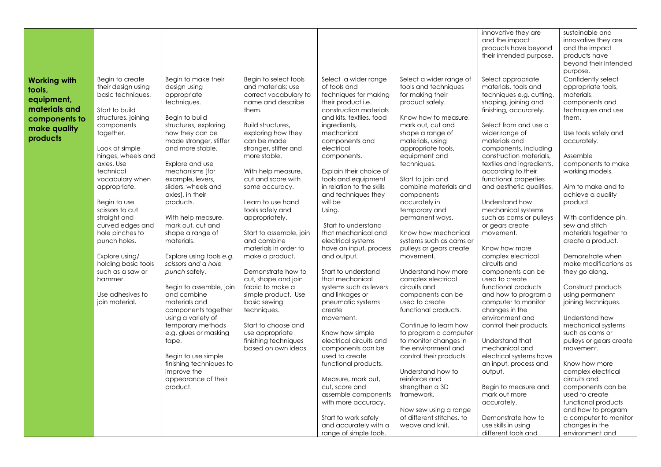|                                                                                                           |                                                                                                                                                                                                                                                                                                                                                                                                                        |                                                                                                                                                                                                                                                                                                                                                                                                                                                                             |                                                                                                                                                                                                                                                                                                                                                                                                                                                                                       |                                                                                                                                                                                                                                                                                                                                                                                                                                                                                                                                           |                                                                                                                                                                                                                                                                                                                                                                                                                                                                                                           | innovative they are<br>and the impact<br>products have beyond<br>their intended purpose.                                                                                                                                                                                                                                                                                                                                                                                                                                                                                 | sustainable and<br>innovative they are<br>and the impact<br>products have<br>beyond their intended<br>purpose.                                                                                                                                                                                                                                                                                                                          |
|-----------------------------------------------------------------------------------------------------------|------------------------------------------------------------------------------------------------------------------------------------------------------------------------------------------------------------------------------------------------------------------------------------------------------------------------------------------------------------------------------------------------------------------------|-----------------------------------------------------------------------------------------------------------------------------------------------------------------------------------------------------------------------------------------------------------------------------------------------------------------------------------------------------------------------------------------------------------------------------------------------------------------------------|---------------------------------------------------------------------------------------------------------------------------------------------------------------------------------------------------------------------------------------------------------------------------------------------------------------------------------------------------------------------------------------------------------------------------------------------------------------------------------------|-------------------------------------------------------------------------------------------------------------------------------------------------------------------------------------------------------------------------------------------------------------------------------------------------------------------------------------------------------------------------------------------------------------------------------------------------------------------------------------------------------------------------------------------|-----------------------------------------------------------------------------------------------------------------------------------------------------------------------------------------------------------------------------------------------------------------------------------------------------------------------------------------------------------------------------------------------------------------------------------------------------------------------------------------------------------|--------------------------------------------------------------------------------------------------------------------------------------------------------------------------------------------------------------------------------------------------------------------------------------------------------------------------------------------------------------------------------------------------------------------------------------------------------------------------------------------------------------------------------------------------------------------------|-----------------------------------------------------------------------------------------------------------------------------------------------------------------------------------------------------------------------------------------------------------------------------------------------------------------------------------------------------------------------------------------------------------------------------------------|
| <b>Working with</b><br>tools,<br>equipment,<br>materials and<br>components to<br>make quality<br>products | Begin to create<br>their design using<br>basic techniques.<br>Start to build<br>structures, joining<br>components<br>together.<br>Look at simple<br>hinges, wheels and<br>axles. Use<br>technical<br>vocabulary when<br>appropriate.<br>Begin to use<br>scissors to cut<br>straight and<br>curved edges and<br>hole pinches to<br>punch holes.<br>Explore using/<br>holding basic tools<br>such as a saw or<br>hammer. | Begin to make their<br>design using<br>appropriate<br>techniques.<br>Begin to build<br>structures, exploring<br>how they can be<br>made stronger, stiffer<br>and more stable.<br>Explore and use<br>mechanisms [for<br>example, levers,<br>sliders, wheels and<br>axles], in their<br>products.<br>With help measure,<br>mark out, cut and<br>shape a range of<br>materials.<br>Explore using tools e.g.<br>scissors and a hole<br>punch safely.<br>Begin to assemble, join | Begin to select tools<br>and materials; use<br>correct vocabulary to<br>name and describe<br>them.<br>Build structures,<br>exploring how they<br>can be made<br>stronger, stiffer and<br>more stable.<br>With help measure,<br>cut and score with<br>some accuracy.<br>Learn to use hand<br>tools safely and<br>appropriately.<br>Start to assemble, join<br>and combine<br>materials in order to<br>make a product.<br>Demonstrate how to<br>cut, shape and join<br>fabric to make a | Select a wider range<br>of tools and<br>techniques for making<br>their product <i>i.e.</i><br>construction materials<br>and kits, textiles, food<br>ingredients,<br>mechanical<br>components and<br>electrical<br>components.<br>Explain their choice of<br>tools and equipment<br>in relation to the skills<br>and techniques they<br>will be<br>Using.<br>Start to understand<br>that mechanical and<br>electrical systems<br>have an input, process<br>and output.<br>Start to understand<br>that mechanical<br>systems such as levers | Select a wider range of<br>tools and techniques<br>for making their<br>product safely.<br>Know how to measure.<br>mark out, cut and<br>shape a range of<br>materials, using<br>appropriate tools,<br>equipment and<br>techniques.<br>Start to join and<br>combine materials and<br>components<br>accurately in<br>temporary and<br>permanent ways.<br>Know how mechanical<br>systems such as cams or<br>pulleys or gears create<br>movement.<br>Understand how more<br>complex electrical<br>circuits and | Select appropriate<br>materials, tools and<br>techniques e.g. cutting,<br>shaping, joining and<br>finishing, accurately.<br>Select from and use a<br>wider range of<br>materials and<br>components, including<br>construction materials,<br>textiles and ingredients,<br>according to their<br>functional properties<br>and aesthetic qualities.<br>Understand how<br>mechanical systems<br>such as cams or pulleys<br>or gears create<br>movement.<br>Know how more<br>complex electrical<br>circuits and<br>components can be<br>used to create<br>functional products | Confidently select<br>appropriate tools,<br>materials.<br>components and<br>techniques and use<br>them.<br>Use tools safely and<br>accurately.<br>Assemble<br>components to make<br>working models.<br>Aim to make and to<br>achieve a quality<br>product.<br>With confidence pin,<br>sew and stitch<br>materials together to<br>create a product.<br>Demonstrate when<br>make modifications as<br>they go along.<br>Construct products |
|                                                                                                           | Use adhesives to<br>join material.                                                                                                                                                                                                                                                                                                                                                                                     | and combine<br>materials and<br>components together<br>using a variety of<br>temporary methods<br>e.g. glues or masking<br>tape.<br>Begin to use simple<br>finishing techniques to<br>improve the<br>appearance of their<br>product.                                                                                                                                                                                                                                        | simple product. Use<br>basic sewing<br>techniques.<br>Start to choose and<br>use appropriate<br>finishing techniques<br>based on own ideas.                                                                                                                                                                                                                                                                                                                                           | and linkages or<br>pneumatic systems<br>create<br>movement.<br>Know how simple<br>electrical circuits and<br>components can be<br>used to create<br>functional products.<br>Measure, mark out,<br>cut, score and<br>assemble components<br>with more accuracy.<br>Start to work safely<br>and accurately with a<br>range of simple tools.                                                                                                                                                                                                 | components can be<br>used to create<br>functional products.<br>Continue to learn how<br>to program a computer<br>to monitor changes in<br>the environment and<br>control their products.<br>Understand how to<br>reinforce and<br>strengthen a 3D<br>framework.<br>Now sew using a range<br>of different stitches, to<br>weave and knit.                                                                                                                                                                  | and how to program a<br>computer to monitor<br>changes in the<br>environment and<br>control their products.<br>Understand that<br>mechanical and<br>electrical systems have<br>an input, process and<br>output.<br>Begin to measure and<br>mark out more<br>accurately.<br>Demonstrate how to<br>use skills in using<br>different tools and                                                                                                                                                                                                                              | using permanent<br>joining techniques.<br>Understand how<br>mechanical systems<br>such as cams or<br>pulleys or gears create<br>movement.<br>Know how more<br>complex electrical<br>circuits and<br>components can be<br>used to create<br>functional products<br>and how to program<br>a computer to monitor<br>changes in the<br>environment and                                                                                      |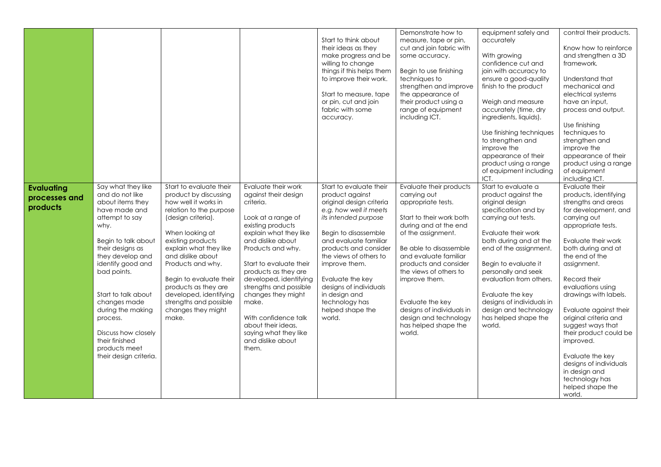|                                                |                                                                                                                                                                                                                                                                                                                                                                     |                                                                                                                                                                                                                                                                                                                                                                             |                                                                                                                                                                                                                                                                                                                                                                                                                    | Start to think about<br>their ideas as they<br>make progress and be<br>willing to change<br>things if this helps them<br>to improve their work.<br>Start to measure, tape<br>or pin, cut and join<br>fabric with some<br>accuracy.                                                                                                                           | Demonstrate how to<br>measure, tape or pin,<br>cut and join fabric with<br>some accuracy.<br>Begin to use finishing<br>techniques to<br>strengthen and improve<br>the appearance of<br>their product using a<br>range of equipment<br>including ICT.                                                                                                                        | equipment safely and<br>accurately<br>With growing<br>confidence cut and<br>join with accuracy to<br>ensure a good-quality<br>finish to the product<br>Weigh and measure<br>accurately (time, dry<br>ingredients, liquids).<br>Use finishing techniques<br>to strengthen and<br>improve the<br>appearance of their<br>product using a range<br>of equipment including<br>ICT. | control their products.<br>Know how to reinforce<br>and strengthen a 3D<br>framework.<br>Understand that<br>mechanical and<br>electrical systems<br>have an input,<br>process and output.<br>Use finishing<br>techniques to<br>strengthen and<br>improve the<br>appearance of their<br>product using a range<br>of equipment<br>including ICT.                                                                                                                                                         |
|------------------------------------------------|---------------------------------------------------------------------------------------------------------------------------------------------------------------------------------------------------------------------------------------------------------------------------------------------------------------------------------------------------------------------|-----------------------------------------------------------------------------------------------------------------------------------------------------------------------------------------------------------------------------------------------------------------------------------------------------------------------------------------------------------------------------|--------------------------------------------------------------------------------------------------------------------------------------------------------------------------------------------------------------------------------------------------------------------------------------------------------------------------------------------------------------------------------------------------------------------|--------------------------------------------------------------------------------------------------------------------------------------------------------------------------------------------------------------------------------------------------------------------------------------------------------------------------------------------------------------|-----------------------------------------------------------------------------------------------------------------------------------------------------------------------------------------------------------------------------------------------------------------------------------------------------------------------------------------------------------------------------|-------------------------------------------------------------------------------------------------------------------------------------------------------------------------------------------------------------------------------------------------------------------------------------------------------------------------------------------------------------------------------|--------------------------------------------------------------------------------------------------------------------------------------------------------------------------------------------------------------------------------------------------------------------------------------------------------------------------------------------------------------------------------------------------------------------------------------------------------------------------------------------------------|
| <b>Evaluating</b><br>processes and<br>products | Say what they like<br>and do not like<br>about items they<br>have made and<br>attempt to say<br>why.<br>Begin to talk about<br>their designs as<br>they develop and<br>identify good and<br>bad points.<br>Start to talk about<br>changes made<br>during the making<br>process.<br>Discuss how closely<br>their finished<br>products meet<br>their design criteria. | Start to evaluate their<br>product by discussing<br>how well it works in<br>relation to the purpose<br>(design criteria).<br>When looking at<br>existing products<br>explain what they like<br>and dislike about<br>Products and why.<br>Begin to evaluate their<br>products as they are<br>developed, identifying<br>strengths and possible<br>changes they might<br>make. | Evaluate their work<br>against their design<br>criteria.<br>Look at a range of<br>existing products<br>explain what they like<br>and dislike about<br>Products and why.<br>Start to evaluate their<br>products as they are<br>developed, identifying<br>strengths and possible<br>changes they might<br>make.<br>With confidence talk<br>about their ideas,<br>saying what they like<br>and dislike about<br>them. | Start to evaluate their<br>product against<br>original design criteria<br>e.g. how well it meets<br>its intended purpose<br>Begin to disassemble<br>and evaluate familiar<br>products and consider<br>the views of others to<br>improve them.<br>Evaluate the key<br>designs of individuals<br>in design and<br>technology has<br>helped shape the<br>world. | Evaluate their products<br>carrying out<br>appropriate tests.<br>Start to their work both<br>during and at the end<br>of the assignment.<br>Be able to disassemble<br>and evaluate familiar<br>products and consider<br>the views of others to<br>improve them.<br>Evaluate the key<br>designs of individuals in<br>design and technology<br>has helped shape the<br>world. | Start to evaluate a<br>product against the<br>original design<br>specification and by<br>carrying out tests.<br>Evaluate their work<br>both during and at the<br>end of the assignment.<br>Begin to evaluate it<br>personally and seek<br>evaluation from others.<br>Evaluate the key<br>designs of individuals in<br>design and technology<br>has helped shape the<br>world. | Evaluate their<br>products, identifying<br>strengths and areas<br>for development, and<br>carrying out<br>appropriate tests.<br>Evaluate their work<br>both during and at<br>the end of the<br>assignment.<br>Record their<br>evaluations using<br>drawings with labels.<br>Evaluate against their<br>original criteria and<br>suggest ways that<br>their product could be<br>improved.<br>Evaluate the key<br>designs of individuals<br>in design and<br>technology has<br>helped shape the<br>world. |